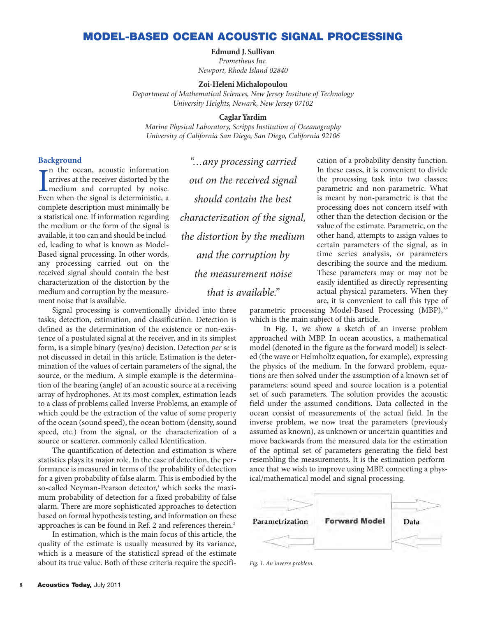# **MODEL-BASED OCEAN ACOUSTIC SIGNAL PROCESSING**

**Edmund J. Sullivan** *Prometheus Inc. Newport, Rhode Island 02840*

**Zoi-Heleni Michalopoulou**

*Department of Mathematical Sciences, New Jersey Institute of Technology University Heights, Newark, New Jersey 07102*

**Caglar Yardim**

*Marine Physical Laboratory, Scripps Institution of Oceanography University of California San Diego, San Diego, California 92106*

# **Background**

In the ocean, acoustic information<br>arrives at the receiver distorted by the<br>medium and corrupted by noise.<br>Even when the signal is deterministic, a n the ocean, acoustic information arrives at the receiver distorted by the medium and corrupted by noise. complete description must minimally be a statistical one. If information regarding the medium or the form of the signal is available, it too can and should be included, leading to what is known as Model-Based signal processing. In other words, any processing carried out on the received signal should contain the best characterization of the distortion by the medium and corruption by the measurement noise that is available.

Signal processing is conventionally divided into three tasks; detection, estimation, and classification. Detection is defined as the determination of the existence or non-existence of a postulated signal at the receiver, and in its simplest form, is a simple binary (yes/no) decision. Detection *per se* is not discussed in detail in this article. Estimation is the determination of the values of certain parameters of the signal, the source, or the medium. A simple example is the determination of the bearing (angle) of an acoustic source at a receiving array of hydrophones. At its most complex, estimation leads to a class of problems called Inverse Problems, an example of which could be the extraction of the value of some property of the ocean (sound speed), the ocean bottom (density, sound speed, etc.) from the signal, or the characterization of a source or scatterer, commonly called Identification.

The quantification of detection and estimation is where statistics plays its major role. In the case of detection, the performance is measured in terms of the probability of detection for a given probability of false alarm. This is embodied by the so-called Neyman-Pearson detector,<sup>1</sup> which seeks the maximum probability of detection for a fixed probability of false alarm. There are more sophisticated approaches to detection based on formal hypothesis testing, and information on these approaches is can be found in Ref. 2 and references therein.<sup>2</sup>

In estimation, which is the main focus of this article, the quality of the estimate is usually measured by its variance, which is a measure of the statistical spread of the estimate about its true value. Both of these criteria require the specifi-

"…any processing carried out on the received signal should contain the best characterization of the signal, the distortion by the medium and the corruption by the measurement noise that is available."

cation of a probability density function. In these cases, it is convenient to divide the processing task into two classes; parametric and non-parametric. What is meant by non-parametric is that the processing does not concern itself with other than the detection decision or the value of the estimate. Parametric, on the other hand, attempts to assign values to certain parameters of the signal, as in time series analysis, or parameters describing the source and the medium. These parameters may or may not be easily identified as directly representing actual physical parameters. When they are, it is convenient to call this type of

parametric processing Model-Based Processing (MBP),<sup>3,4</sup> which is the main subject of this article.

In Fig. 1, we show a sketch of an inverse problem approached with MBP. In ocean acoustics, a mathematical model (denoted in the figure as the forward model) is selected (the wave or Helmholtz equation, for example), expressing the physics of the medium. In the forward problem, equations are then solved under the assumption of a known set of parameters; sound speed and source location is a potential set of such parameters. The solution provides the acoustic field under the assumed conditions. Data collected in the ocean consist of measurements of the actual field. In the inverse problem, we now treat the parameters (previously assumed as known), as unknown or uncertain quantities and move backwards from the measured data for the estimation of the optimal set of parameters generating the field best resembling the measurements. It is the estimation performance that we wish to improve using MBP, connecting a physical/mathematical model and signal processing.



*Fig. 1. An inverse problem.*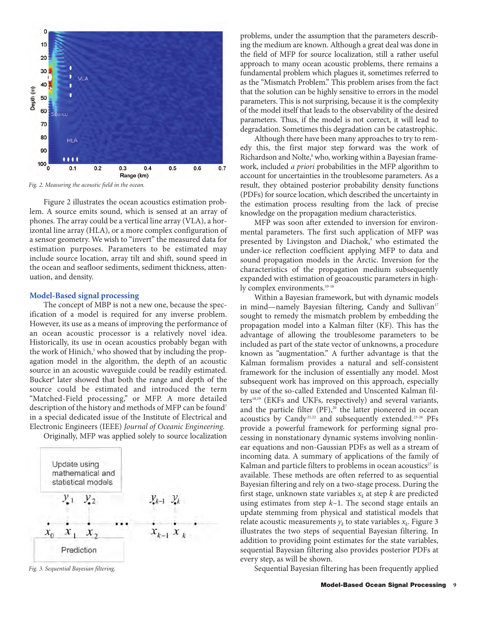

*Fig. 2. Measuring the acoustic field in the ocean.*

Figure 2 illustrates the ocean acoustics estimation problem. A source emits sound, which is sensed at an array of phones. The array could be a vertical line array (VLA), a horizontal line array (HLA), or a more complex configuration of a sensor geometry. We wish to "invert" the measured data for estimation purposes. Parameters to be estimated may include source location, array tilt and shift, sound speed in the ocean and seafloor sediments, sediment thickness, attenuation, and density.

## **Model-Based signal processing**

The concept of MBP is not a new one, because the specification of a model is required for any inverse problem. However, its use as a means of improving the performance of an ocean acoustic processor is a relatively novel idea. Historically, its use in ocean acoustics probably began with the work of Hinich,<sup>5</sup> who showed that by including the propagation model in the algorithm, the depth of an acoustic source in an acoustic waveguide could be readily estimated. Bucker<sup>6</sup> later showed that both the range and depth of the source could be estimated and introduced the term "Matched-Field processing," or MFP. A more detailed description of the history and methods of MFP can be found<sup>7</sup> in a special dedicated issue of the Institute of Electrical and Electronic Engineers (IEEE) *Journal of Oceanic Engineering*.

Originally, MFP was applied solely to source localization



*Fig. 3. Sequential Bayesian filtering.*

problems, under the assumption that the parameters describing the medium are known. Although a great deal was done in the field of MFP for source localization, still a rather useful approach to many ocean acoustic problems, there remains a fundamental problem which plagues it, sometimes referred to as the "Mismatch Problem." This problem arises from the fact that the solution can be highly sensitive to errors in the model parameters. This is not surprising, because it is the complexity of the model itself that leads to the observability of the desired parameters. Thus, if the model is not correct, it will lead to degradation. Sometimes this degradation can be catastrophic.

Although there have been many approaches to try to remedy this, the first major step forward was the work of Richardson and Nolte,<sup>8</sup> who, working within a Bayesian framework, included *a priori* probabilities in the MFP algorithm to account for uncertainties in the troublesome parameters. As a result, they obtained posterior probability density functions (PDFs) for source location, which described the uncertainty in the estimation process resulting from the lack of precise knowledge on the propagation medium characteristics.

MFP was soon after extended to inversion for environmental parameters. The first such application of MFP was presented by Livingston and Diachok,<sup>9</sup> who estimated the under-ice reflection coefficient applying MFP to data and sound propagation models in the Arctic. Inversion for the characteristics of the propagation medium subsequently expanded with estimation of geoacoustic parameters in highly complex environments.<sup>10-16</sup>

Within a Bayesian framework, but with dynamic models in mind—namely Bayesian filtering, Candy and Sullivan<sup>17</sup> sought to remedy the mismatch problem by embedding the propagation model into a Kalman filter (KF). This has the advantage of allowing the troublesome parameters to be included as part of the state vector of unknowns, a procedure known as "augmentation." A further advantage is that the Kalman formalism provides a natural and self-consistent framework for the inclusion of essentially any model. Most subsequent work has improved on this approach, especially by use of the so-called Extended and Unscented Kalman filters<sup>18,19</sup> (EKFs and UKFs, respectively) and several variants, and the particle filter  $(PF)$ ,<sup>20</sup> the latter pioneered in ocean acoustics by Candy<sup>21,22</sup> and subsequently extended.<sup>23-26</sup> PFs provide a powerful framework for performing signal processing in nonstationary dynamic systems involving nonlinear equations and non-Gaussian PDFs as well as a stream of incoming data. A summary of applications of the family of Kalman and particle filters to problems in ocean acoustics $27$  is available. These methods are often referred to as sequential Bayesian filtering and rely on a two-stage process. During the first stage, unknown state variables  $x_k$  at step  $k$  are predicted using estimates from step  $k-1$ . The second stage entails an update stemming from physical and statistical models that relate acoustic measurements  $y_k$  to state variables  $x_k$ . Figure 3 illustrates the two steps of sequential Bayesian filtering. In addition to providing point estimates for the state variables, sequential Bayesian filtering also provides posterior PDFs at every step, as will be shown.

Sequential Bayesian filtering has been frequently applied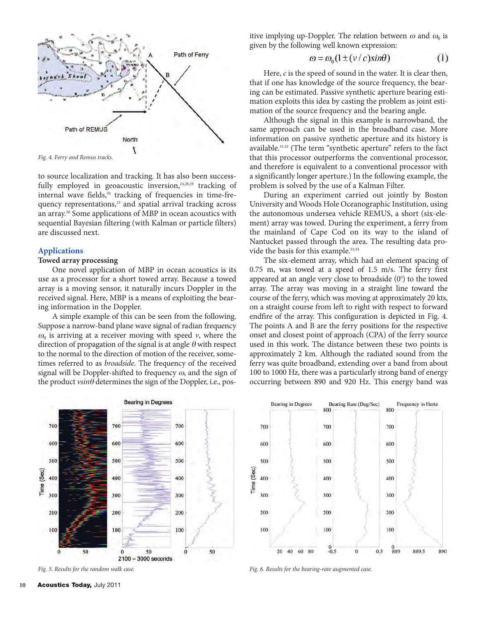

*Fig. 4. Ferry and Remus tracks.*

to source localization and tracking. It has also been successfully employed in geoacoustic inversion, $24,28,29$  tracking of internal wave fields,<sup>30</sup> tracking of frequencies in time-frequency representations,<sup>23</sup> and spatial arrival tracking across an array.<sup>26</sup> Some applications of MBP in ocean acoustics with sequential Bayesian filtering (with Kalman or particle filters) are discussed next.

# **Applications**

#### **Towed array processing**

One novel application of MBP in ocean acoustics is its use as a processor for a short towed array. Because a towed array is a moving sensor, it naturally incurs Doppler in the received signal. Here, MBP is a means of exploiting the bearing information in the Doppler.

A simple example of this can be seen from the following. Suppose a narrow-band plane wave signal of radian frequency  $\omega_0$  is arriving at a receiver moving with speed  $\nu$ , where the direction of propagation of the signal is at angle  $\theta$  with respect to the normal to the direction of motion of the receiver, sometimes referred to as *broadside*. The frequency of the received signal will be Doppler-shifted to frequency  $\omega$ , and the sign of the product  $v\sin\theta$  determines the sign of the Doppler, i.e., positive implying up-Doppler. The relation between  $\omega$  and  $\omega_0$  is given by the following well known expression:

$$
\omega = \omega_0 (1 \pm (v/c) \sin \theta) \tag{1}
$$

Here, *c* is the speed of sound in the water. It is clear then, that if one has knowledge of the source frequency, the bearing can be estimated. Passive synthetic aperture bearing estimation exploits this idea by casting the problem as joint estimation of the source frequency and the bearing angle.

Although the signal in this example is narrowband, the same approach can be used in the broadband case. More information on passive synthetic aperture and its history is available.31,32 (The term "synthetic aperture" refers to the fact that this processor outperforms the conventional processor, and therefore is equivalent to a conventional processor with a significantly longer aperture.) In the following example, the problem is solved by the use of a Kalman Filter.

During an experiment carried out jointly by Boston University and Woods Hole Oceanographic Institution, using the autonomous undersea vehicle REMUS, a short (six-element) array was towed. During the experiment, a ferry from the mainland of Cape Cod on its way to the island of Nantucket passed through the area. The resulting data provide the basis for this example.<sup>33,34</sup>

The six-element array, which had an element spacing of 0.75 m, was towed at a speed of 1.5 m/s. The ferry first appeared at an angle very close to broadside  $(0^{\circ})$  to the towed array. The array was moving in a straight line toward the course of the ferry, which was moving at approximately 20 kts, on a straight course from left to right with respect to forward endfire of the array. This configuration is depicted in Fig. 4. The points A and B are the ferry positions for the respective onset and closest point of approach (CPA) of the ferry source used in this work. The distance between these two points is approximately 2 km. Although the radiated sound from the ferry was quite broadband, extending over a band from about 100 to 1000 Hz, there was a particularly strong band of energy occurring between 890 and 920 Hz. This energy band was



*Fig. 5. Results for the random walk case.*



*Fig. 6. Results for the bearing-rate augmented case.*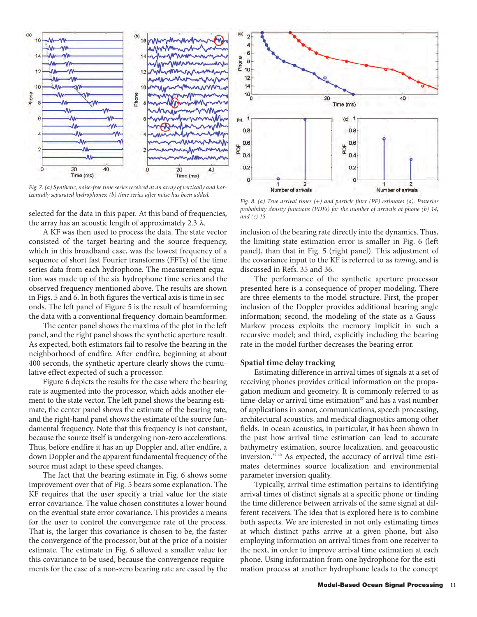

*Fig. 7. (a) Synthetic, noise-free time series received at an array of vertically and horizontally separated hydrophones; (b) time series after noise has been added.*

selected for the data in this paper. At this band of frequencies, the array has an acoustic length of approximately 2.3  $λ$ .

A KF was then used to process the data. The state vector consisted of the target bearing and the source frequency, which in this broadband case, was the lowest frequency of a sequence of short fast Fourier transforms (FFTs) of the time series data from each hydrophone. The measurement equation was made up of the six hydrophone time series and the observed frequency mentioned above. The results are shown in Figs. 5 and 6. In both figures the vertical axis is time in seconds. The left panel of Figure 5 is the result of beamforming the data with a conventional frequency-domain beamformer.

The center panel shows the maxima of the plot in the left panel, and the right panel shows the synthetic aperture result. As expected, both estimators fail to resolve the bearing in the neighborhood of endfire. After endfire, beginning at about 400 seconds, the synthetic aperture clearly shows the cumulative effect expected of such a processor.

Figure 6 depicts the results for the case where the bearing rate is augmented into the processor, which adds another element to the state vector. The left panel shows the bearing estimate, the center panel shows the estimate of the bearing rate, and the right-hand panel shows the estimate of the source fundamental frequency. Note that this frequency is not constant, because the source itself is undergoing non-zero accelerations. Thus, before endfire it has an up Doppler and, after endfire, a down Doppler and the apparent fundamental frequency of the source must adapt to these speed changes.

The fact that the bearing estimate in Fig. 6 shows some improvement over that of Fig. 5 bears some explanation. The KF requires that the user specify a trial value for the state error covariance. The value chosen constitutes a lower bound on the eventual state error covariance. This provides a means for the user to control the convergence rate of the process. That is, the larger this covariance is chosen to be, the faster the convergence of the processor, but at the price of a noisier estimate. The estimate in Fig. 6 allowed a smaller value for this covariance to be used, because the convergence requirements for the case of a non-zero bearing rate are eased by the



*Fig. 8. (a) True arrival times (+) and particle filter (PF) estimates (o). Posterior probability density functions (PDFs) for the number of arrivals at phone (b) 14, and (c) 15.*

inclusion of the bearing rate directly into the dynamics. Thus, the limiting state estimation error is smaller in Fig. 6 (left panel), than that in Fig. 5 (right panel). This adjustment of the covariance input to the KF is referred to as *tuning*, and is discussed in Refs. 35 and 36.

The performance of the synthetic aperture processor presented here is a consequence of proper modeling. There are three elements to the model structure. First, the proper inclusion of the Doppler provides additional bearing angle information; second, the modeling of the state as a Gauss-Markov process exploits the memory implicit in such a recursive model; and third, explicitly including the bearing rate in the model further decreases the bearing error.

# **Spatial time delay tracking**

Estimating difference in arrival times of signals at a set of receiving phones provides critical information on the propagation medium and geometry. It is commonly referred to as time-delay or arrival time estimation $37$  and has a vast number of applications in sonar, communications, speech processing, architectural acoustics, and medical diagnostics among other fields. In ocean acoustics, in particular, it has been shown in the past how arrival time estimation can lead to accurate bathymetry estimation, source localization, and geoacoustic inversion.37-40 As expected, the accuracy of arrival time estimates determines source localization and environmental parameter inversion quality.

Typically, arrival time estimation pertains to identifying arrival times of distinct signals at a specific phone or finding the time difference between arrivals of the same signal at different receivers. The idea that is explored here is to combine both aspects. We are interested in not only estimating times at which distinct paths arrive at a given phone, but also employing information on arrival times from one receiver to the next, in order to improve arrival time estimation at each phone. Using information from one hydrophone for the estimation process at another hydrophone leads to the concept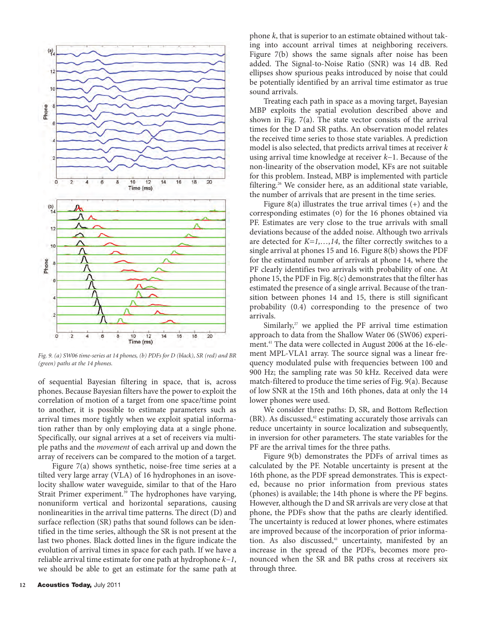

*Fig. 9. (a) SW06 time-series at 14 phones, (b) PDFs for D (black), SR (red) and BR (green) paths at the 14 phones.*

of sequential Bayesian filtering in space, that is, across phones. Because Bayesian filters have the power to exploit the correlation of motion of a target from one space/time point to another, it is possible to estimate parameters such as arrival times more tightly when we exploit spatial information rather than by only employing data at a single phone. Specifically, our signal arrives at a set of receivers via multiple paths and the *movement* of each arrival up and down the array of receivers can be compared to the motion of a target.

Figure 7(a) shows synthetic, noise-free time series at a tilted very large array (VLA) of 16 hydrophones in an isovelocity shallow water waveguide, similar to that of the Haro Strait Primer experiment.<sup>39</sup> The hydrophones have varying, nonuniform vertical and horizontal separations, causing nonlinearities in the arrival time patterns. The direct (D) and surface reflection (SR) paths that sound follows can be identified in the time series, although the SR is not present at the last two phones. Black dotted lines in the figure indicate the evolution of arrival times in space for each path. If we have a reliable arrival time estimate for one path at hydrophone k−*1*, we should be able to get an estimate for the same path at phone k, that is superior to an estimate obtained without taking into account arrival times at neighboring receivers. Figure 7(b) shows the same signals after noise has been added. The Signal-to-Noise Ratio (SNR) was 14 dB. Red ellipses show spurious peaks introduced by noise that could be potentially identified by an arrival time estimator as true sound arrivals.

Treating each path in space as a moving target, Bayesian MBP exploits the spatial evolution described above and shown in Fig. 7(a). The state vector consists of the arrival times for the D and SR paths. An observation model relates the received time series to those state variables. A prediction model is also selected, that predicts arrival times at receiver  $k$ using arrival time knowledge at receiver k−1. Because of the non-linearity of the observation model, KFs are not suitable for this problem. Instead, MBP is implemented with particle filtering.<sup>26</sup> We consider here, as an additional state variable, the number of arrivals that are present in the time series.

Figure  $8(a)$  illustrates the true arrival times  $(+)$  and the corresponding estimates (o) for the 16 phones obtained via PF. Estimates are very close to the true arrivals with small deviations because of the added noise. Although two arrivals are detected for K*=1,…,14*, the filter correctly switches to a single arrival at phones 15 and 16. Figure 8(b) shows the PDF for the estimated number of arrivals at phone 14, where the PF clearly identifies two arrivals with probability of one. At phone 15, the PDF in Fig. 8(c) demonstrates that the filter has estimated the presence of a single arrival. Because of the transition between phones 14 and 15, there is still significant probability (0.4) corresponding to the presence of two arrivals.

Similarly, $27$  we applied the PF arrival time estimation approach to data from the Shallow Water 06 (SW06) experiment.41 The data were collected in August 2006 at the 16-element MPL-VLA1 array. The source signal was a linear frequency modulated pulse with frequencies between 100 and 900 Hz; the sampling rate was 50 kHz. Received data were match-filtered to produce the time series of Fig. 9(a). Because of low SNR at the 15th and 16th phones, data at only the 14 lower phones were used.

We consider three paths: D, SR, and Bottom Reflection  $(BR)$ . As discussed,<sup>42</sup> estimating accurately those arrivals can reduce uncertainty in source localization and subsequently, in inversion for other parameters. The state variables for the PF are the arrival times for the three paths.

Figure 9(b) demonstrates the PDFs of arrival times as calculated by the PF. Notable uncertainty is present at the 16th phone, as the PDF spread demonstrates. This is expected, because no prior information from previous states (phones) is available; the 14th phone is where the PF begins. However, although the D and SR arrivals are very close at that phone, the PDFs show that the paths are clearly identified. The uncertainty is reduced at lower phones, where estimates are improved because of the incorporation of prior information. As also discussed,<sup>41</sup> uncertainty, manifested by an increase in the spread of the PDFs, becomes more pronounced when the SR and BR paths cross at receivers six through three.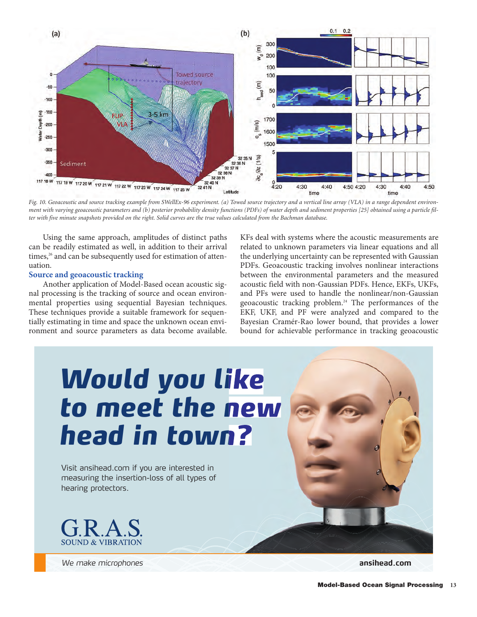

*ment with varying geoacoustic parameters and (b) posterior probability density functions (PDFs) of water depth and sediment properties [25] obtained using a particle filter with five minute snapshots provided on the right. Solid curves are the true values calculated from the Bachman database.*

Using the same approach, amplitudes of distinct paths can be readily estimated as well, in addition to their arrival times,<sup>26</sup> and can be subsequently used for estimation of attenuation.

# **Source and geoacoustic tracking**

Another application of Model-Based ocean acoustic signal processing is the tracking of source and ocean environmental properties using sequential Bayesian techniques. These techniques provide a suitable framework for sequentially estimating in time and space the unknown ocean environment and source parameters as data become available. KFs deal with systems where the acoustic measurements are related to unknown parameters via linear equations and all the underlying uncertainty can be represented with Gaussian PDFs. Geoacoustic tracking involves nonlinear interactions between the environmental parameters and the measured acoustic field with non-Gaussian PDFs. Hence, EKFs, UKFs, and PFs were used to handle the nonlinear/non-Gaussian geoacoustic tracking problem.<sup>24</sup> The performances of the EKF, UKF, and PF were analyzed and compared to the Bayesian Cramér-Rao lower bound, that provides a lower bound for achievable performance in tracking geoacoustic



*We make microphones mak* **ansihead.com ansihead com**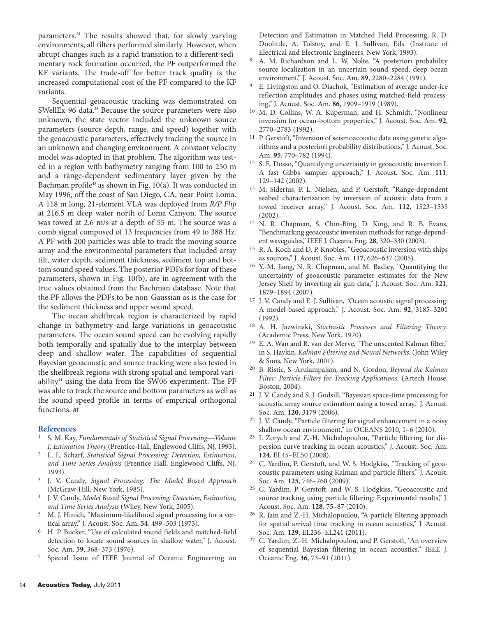parameters.24 The results showed that, for slowly varying environments, all filters performed similarly. However, when abrupt changes such as a rapid transition to a different sedimentary rock formation occurred, the PF outperformed the KF variants. The trade-off for better track quality is the increased computational cost of the PF compared to the KF variants.

Sequential geoacoustic tracking was demonstrated on SWellEx-96 data.<sup>25</sup> Because the source parameters were also unknown, the state vector included the unknown source parameters (source depth, range, and speed) together with the geoacoustic parameters, effectively tracking the source in an unknown and changing environment. A constant velocity model was adopted in that problem. The algorithm was tested in a region with bathymetry ranging from 100 to 250 m and a range-dependent sedimentary layer given by the Bachman profile<sup>43</sup> as shown in Fig.  $10(a)$ . It was conducted in May 1996, off the coast of San Diego, CA, near Point Loma. A 118 m long, 21-element VLA was deployed from *R/P Flip* at 216.5 m deep water north of Loma Canyon. The source was towed at 2.6 m/s at a depth of 55 m. The source was a comb signal composed of 13 frequencies from 49 to 388 Hz. A PF with 200 particles was able to track the moving source array and the environmental parameters that included array tilt, water depth, sediment thickness, sediment top and bottom sound speed values. The posterior PDFs for four of these parameters, shown in Fig. 10(b), are in agreement with the true values obtained from the Bachman database. Note that the PF allows the PDFs to be non-Gaussian as is the case for the sediment thickness and upper sound speed.

The ocean shelfbreak region is characterized by rapid change in bathymetry and large variations in geoacoustic parameters. The ocean sound speed can be evolving rapidly both temporally and spatially due to the interplay between deep and shallow water. The capabilities of sequential Bayesian geoacoustic and source tracking were also tested in the shelfbreak regions with strong spatial and temporal variability<sup>44</sup> using the data from the SW06 experiment. The PF was able to track the source and bottom parameters as well as the sound speed profile in terms of empirical orthogonal functions. **AT**

# **References**

- 1 S. M. Kay, *Fundamentals of Statistical Signal Processing—Volume I: Estimation Theory* (Prentice-Hall, Englewood Cliffs, NJ, 1993).
- 2 L. L. Scharf, *Statistical Signal Processing: Detection, Estimation, and Time Series Analysis* (Prentice Hall, Englewood Cliffs, NJ, 1993).
- 3 J. V. Candy, *Signal Processing: The Model Based Approach* (McGraw-Hill, New York, 1985).
- 4 J. V. Candy, *Model Based Signal Processing: Detection, Estimation, and Time Series Analysis* (Wiley, New York, 2005).
- 5 M. J. Hinich, "Maximum-likelihood signal processing for a vertical array," J. Acoust. Soc. Am. **54**, 499–503 (1973).
- 6 H. P. Bucker, "Use of calculated sound fields and matched-field detection to locate sound sources in shallow water," J. Acoust. Soc. Am. **59**, 368–373 (1976).
- 7 Special Issue of IEEE Journal of Oceanic Engineering on

Detection and Estimation in Matched Field Processing, R. D. Doolittle, A. Tolstoy, and E. J. Sullivan, Eds. (Institute of Electrical and Electronic Engineers, New York, 1993).

- 8 A. M. Richardson and L. W. Nolte, "A posteriori probability source localization in an uncertain sound speed, deep ocean environment," J. Acoust. Soc. Am. **89**, 2280–2284 (1991).
- E. Livingston and O. Diachok, "Estimation of average under-ice reflection amplitudes and phases using matched-field processing," J. Acoust. Soc. Am. **86**, 1909–1919 (1989).
- 10 M. D. Collins, W. A. Kuperman, and H. Schmidt, "Nonlinear inversion for ocean-bottom properties," J. Acoust. Soc. Am. **92**, 2770–2783 (1992).
- 11 P. Gerstoft, "Inversion of seismoacoustic data using genetic algorithms and a posteriori probability distributions," J. Acoust. Soc. Am. **95**, 770–782 (1994).
- 12 S. E. Dosso, "Quantifying uncertainty in geoacoustic inversion I. A fast Gibbs sampler approach," J. Acoust. Soc. Am. **111**, 129–142 (2002).
- 13 M. Siderius, P. L. Nielsen, and P. Gerstoft, "Range-dependent seabed characterization by inversion of acoustic data from a towed receiver array," J. Acoust. Soc. Am. **112**, 1523–1535 (2002).
- 14 N. R. Chapman, S. Chin-Bing, D. King, and R. B. Evans, "Benchmarking geoacoustic inversion methods for range-dependent waveguides," IEEE J. Oceanic Eng. **28**, 320–330 (2003).
- 15 R. A. Koch and D. P. Knobles, "Geoacoustic inversion with ships as sources," J. Acoust. Soc. Am. **117**, 626–637 (2005).
- 16 Y.-M. Jiang, N. R. Chapman, and M. Badiey, "Quantifying the uncertainty of geoacoustic parameter estimates for the New Jersey Shelf by inverting air gun data," J. Acoust. Soc. Am. **121**, 1879–1894 (2007).
- J. V. Candy and E. J. Sullivan, "Ocean acoustic signal processing: A model-based approach," J. Acoust. Soc. Am. **92**, 3185–3201 (1992).
- 18 A. H. Jazwinski, *Stochastic Processes and Filtering Theory*. (Academic Press, New York, 1970).
- 19 E. A. Wan and R. van der Merve, "The unscented Kalman filter," in S. Haykin, *Kalman Filtering and Neural Networks*. (John Wiley & Sons, New York, 2001).
- 20 B. Ristic, S. Arulampalam, and N. Gordon, *Beyond the Kalman Filter: Particle Filters for Tracking Applications*. (Artech House, Boston, 2004).
- 21 J. V. Candy and S. J. Godsill, "Bayesian space-time processing for acoustic array source estimation using a towed array," J. Acoust. Soc. Am. **120**, 3179 (2006).
- 22 J. V. Candy, "Particle filtering for signal enhancement in a noisy shallow ocean environment," in OCEANS 2010, 1–6 (2010).
- 23 I. Zorych and Z.-H. Michalopoulou, "Particle filtering for dispersion curve tracking in ocean acoustics," J. Acoust. Soc. Am. **124**, EL45–EL50 (2008).
- 24 C. Yardim, P. Gerstoft, and W. S. Hodgkiss, "Tracking of geoacoustic parameters using Kalman and particle filters," J. Acoust. Soc. Am. **125**, 746–760 (2009).
- 25 C. Yardim, P. Gerstoft, and W. S. Hodgkiss, "Geoacoustic and source tracking using particle filtering: Experimental results," J. Acoust. Soc. Am. **128**, 75–87 (2010).
- 26 R. Jain and Z.-H. Michalopoulou, "A particle filtering approach for spatial arrival time tracking in ocean acoustics," J. Acoust. Soc. Am. **129**, EL236–EL241 (2011).
- 27 C. Yardim, Z.-H. Michalopoulou, and P. Gerstoft, "An overview of sequential Bayesian filtering in ocean acoustics," IEEE J. Oceanic Eng. **36**, 73–91 (2011).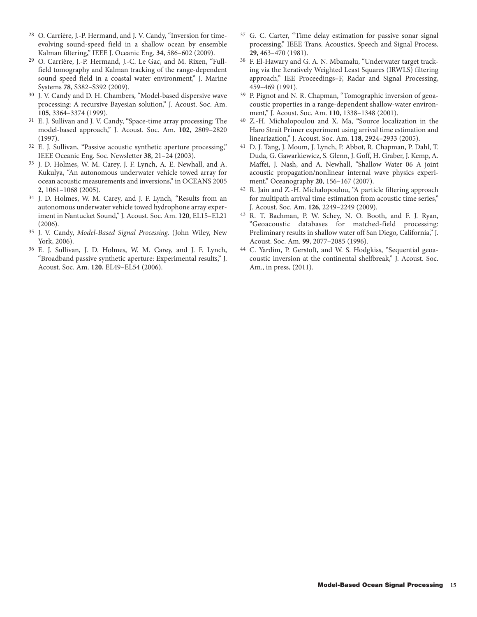- 28 O. Carrière, J.-P. Hermand, and J. V. Candy, "Inversion for timeevolving sound-speed field in a shallow ocean by ensemble Kalman filtering," IEEE J. Oceanic Eng. **34**, 586–602 (2009).
- 29 O. Carrière, J.-P. Hermand, J.-C. Le Gac, and M. Rixen, "Fullfield tomography and Kalman tracking of the range-dependent sound speed field in a coastal water environment," J. Marine Systems **78**, S382–S392 (2009).
- 30 J. V. Candy and D. H. Chambers, "Model-based dispersive wave processing: A recursive Bayesian solution," J. Acoust. Soc. Am. **105**, 3364–3374 (1999).
- 31 E. J. Sullivan and J. V. Candy, "Space-time array processing: The model-based approach," J. Acoust. Soc. Am. **102**, 2809–2820 (1997).
- 32 E. J. Sullivan, "Passive acoustic synthetic aperture processing," IEEE Oceanic Eng. Soc. Newsletter **38**, 21–24 (2003).
- 33 J. D. Holmes, W. M. Carey, J. F. Lynch, A. E. Newhall, and A. Kukulya, "An autonomous underwater vehicle towed array for ocean acoustic measurements and inversions," in OCEANS 2005 **2**, 1061–1068 (2005).
- 34 J. D. Holmes, W. M. Carey, and J. F. Lynch, "Results from an autonomous underwater vehicle towed hydrophone array experiment in Nantucket Sound," J. Acoust. Soc. Am. **120**, EL15–EL21 (2006).
- 35 J. V. Candy, *Model-Based Signal Processing*. (John Wiley, New York, 2006).
- 36 E. J. Sullivan, J. D. Holmes, W. M. Carey, and J. F. Lynch, "Broadband passive synthetic aperture: Experimental results," J. Acoust. Soc. Am. **120**, EL49–EL54 (2006).
- 37 G. C. Carter, "Time delay estimation for passive sonar signal processing," IEEE Trans. Acoustics, Speech and Signal Process. **29**, 463–470 (1981).
- 38 F. El-Hawary and G. A. N. Mbamalu, "Underwater target tracking via the Iteratively Weighted Least Squares (IRWLS) filtering approach," IEE Proceedings–F, Radar and Signal Processing, 459–469 (1991).
- 39 P. Pignot and N. R. Chapman, "Tomographic inversion of geoacoustic properties in a range-dependent shallow-water environment," J. Acoust. Soc. Am. **110**, 1338–1348 (2001).
- Z.-H. Michalopoulou and X. Ma, "Source localization in the Haro Strait Primer experiment using arrival time estimation and linearization," J. Acoust. Soc. Am. **118**, 2924–2933 (2005).
- 41 D. J. Tang, J. Moum, J. Lynch, P. Abbot, R. Chapman, P. Dahl, T. Duda, G. Gawarkiewicz, S. Glenn, J. Goff, H. Graber, J. Kemp, A. Maffei, J. Nash, and A. Newhall, "Shallow Water 06 A joint acoustic propagation/nonlinear internal wave physics experiment," Oceanography **20**, 156–167 (2007).
- 42 R. Jain and Z.-H. Michalopoulou, "A particle filtering approach for multipath arrival time estimation from acoustic time series," J. Acoust. Soc. Am. **126**, 2249–2249 (2009).
- 43 R. T. Bachman, P. W. Schey, N. O. Booth, and F. J. Ryan, "Geoacoustic databases for matched-field processing: Preliminary results in shallow water off San Diego, California," J. Acoust. Soc. Am. **99**, 2077–2085 (1996).
- 44 C. Yardim, P. Gerstoft, and W. S. Hodgkiss, "Sequential geoacoustic inversion at the continental shelfbreak," J. Acoust. Soc. Am., in press, (2011).